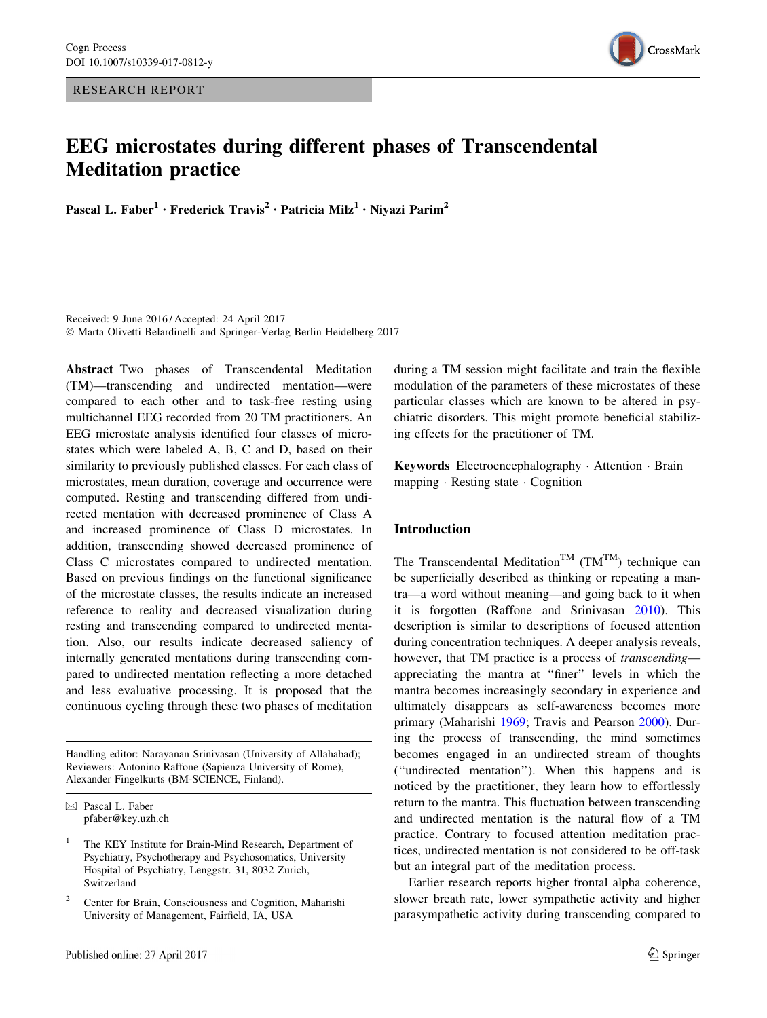RESEARCH REPORT



# EEG microstates during different phases of Transcendental Meditation practice

Pascal L. Faber<sup>1</sup> • Frederick Travis<sup>2</sup> • Patricia Milz<sup>1</sup> • Niyazi Parim<sup>2</sup>

Received: 9 June 2016 / Accepted: 24 April 2017 - Marta Olivetti Belardinelli and Springer-Verlag Berlin Heidelberg 2017

Abstract Two phases of Transcendental Meditation (TM)—transcending and undirected mentation—were compared to each other and to task-free resting using multichannel EEG recorded from 20 TM practitioners. An EEG microstate analysis identified four classes of microstates which were labeled A, B, C and D, based on their similarity to previously published classes. For each class of microstates, mean duration, coverage and occurrence were computed. Resting and transcending differed from undirected mentation with decreased prominence of Class A and increased prominence of Class D microstates. In addition, transcending showed decreased prominence of Class C microstates compared to undirected mentation. Based on previous findings on the functional significance of the microstate classes, the results indicate an increased reference to reality and decreased visualization during resting and transcending compared to undirected mentation. Also, our results indicate decreased saliency of internally generated mentations during transcending compared to undirected mentation reflecting a more detached and less evaluative processing. It is proposed that the continuous cycling through these two phases of meditation

Handling editor: Narayanan Srinivasan (University of Allahabad); Reviewers: Antonino Raffone (Sapienza University of Rome), Alexander Fingelkurts (BM-SCIENCE, Finland).

& Pascal L. Faber pfaber@key.uzh.ch during a TM session might facilitate and train the flexible modulation of the parameters of these microstates of these particular classes which are known to be altered in psychiatric disorders. This might promote beneficial stabilizing effects for the practitioner of TM.

Keywords Electroencephalography - Attention - Brain mapping - Resting state - Cognition

# Introduction

The Transcendental Meditation<sup>TM</sup> (TM<sup>TM</sup>) technique can be superficially described as thinking or repeating a mantra—a word without meaning—and going back to it when it is forgotten (Raffone and Srinivasan [2010](#page-7-0)). This description is similar to descriptions of focused attention during concentration techniques. A deeper analysis reveals, however, that TM practice is a process of *transcending* appreciating the mantra at ''finer'' levels in which the mantra becomes increasingly secondary in experience and ultimately disappears as self-awareness becomes more primary (Maharishi [1969](#page-7-0); Travis and Pearson [2000](#page-7-0)). During the process of transcending, the mind sometimes becomes engaged in an undirected stream of thoughts (''undirected mentation''). When this happens and is noticed by the practitioner, they learn how to effortlessly return to the mantra. This fluctuation between transcending and undirected mentation is the natural flow of a TM practice. Contrary to focused attention meditation practices, undirected mentation is not considered to be off-task but an integral part of the meditation process.

Earlier research reports higher frontal alpha coherence, slower breath rate, lower sympathetic activity and higher parasympathetic activity during transcending compared to

The KEY Institute for Brain-Mind Research, Department of Psychiatry, Psychotherapy and Psychosomatics, University Hospital of Psychiatry, Lenggstr. 31, 8032 Zurich, Switzerland

<sup>2</sup> Center for Brain, Consciousness and Cognition, Maharishi University of Management, Fairfield, IA, USA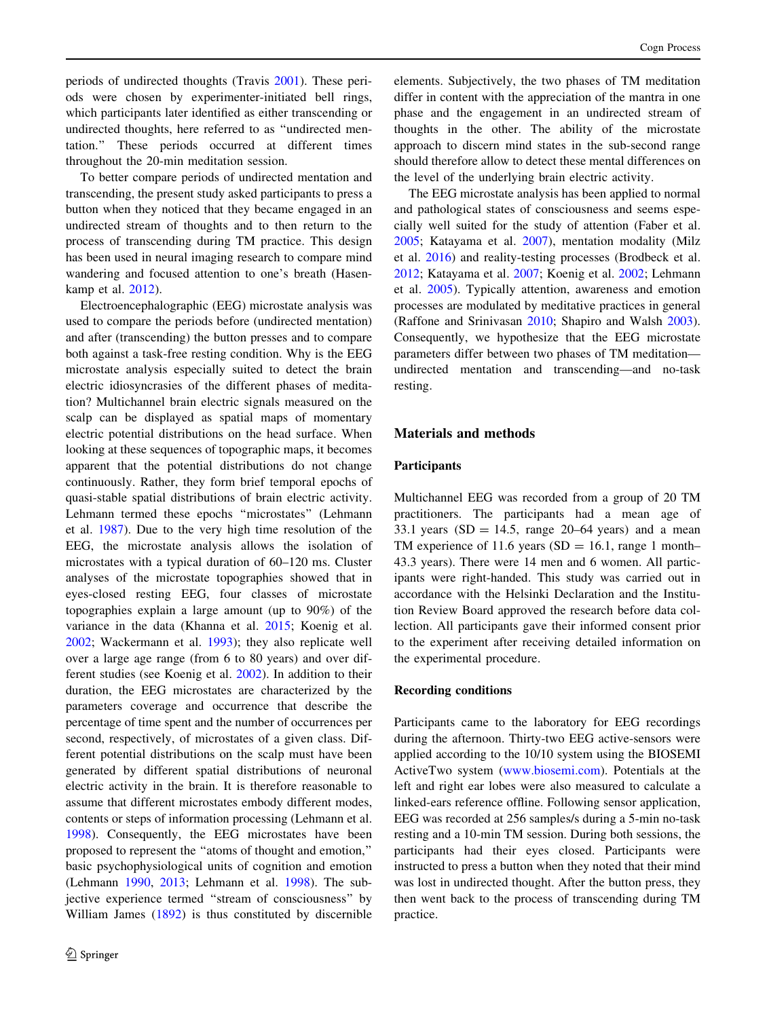periods of undirected thoughts (Travis [2001](#page-7-0)). These periods were chosen by experimenter-initiated bell rings, which participants later identified as either transcending or undirected thoughts, here referred to as ''undirected mentation.'' These periods occurred at different times throughout the 20-min meditation session.

To better compare periods of undirected mentation and transcending, the present study asked participants to press a button when they noticed that they became engaged in an undirected stream of thoughts and to then return to the process of transcending during TM practice. This design has been used in neural imaging research to compare mind wandering and focused attention to one's breath (Hasenkamp et al. [2012](#page-7-0)).

Electroencephalographic (EEG) microstate analysis was used to compare the periods before (undirected mentation) and after (transcending) the button presses and to compare both against a task-free resting condition. Why is the EEG microstate analysis especially suited to detect the brain electric idiosyncrasies of the different phases of meditation? Multichannel brain electric signals measured on the scalp can be displayed as spatial maps of momentary electric potential distributions on the head surface. When looking at these sequences of topographic maps, it becomes apparent that the potential distributions do not change continuously. Rather, they form brief temporal epochs of quasi-stable spatial distributions of brain electric activity. Lehmann termed these epochs ''microstates'' (Lehmann et al. [1987](#page-7-0)). Due to the very high time resolution of the EEG, the microstate analysis allows the isolation of microstates with a typical duration of 60–120 ms. Cluster analyses of the microstate topographies showed that in eyes-closed resting EEG, four classes of microstate topographies explain a large amount (up to 90%) of the variance in the data (Khanna et al. [2015;](#page-7-0) Koenig et al. [2002;](#page-7-0) Wackermann et al. [1993](#page-7-0)); they also replicate well over a large age range (from 6 to 80 years) and over different studies (see Koenig et al. [2002](#page-7-0)). In addition to their duration, the EEG microstates are characterized by the parameters coverage and occurrence that describe the percentage of time spent and the number of occurrences per second, respectively, of microstates of a given class. Different potential distributions on the scalp must have been generated by different spatial distributions of neuronal electric activity in the brain. It is therefore reasonable to assume that different microstates embody different modes, contents or steps of information processing (Lehmann et al. [1998\)](#page-7-0). Consequently, the EEG microstates have been proposed to represent the ''atoms of thought and emotion,'' basic psychophysiological units of cognition and emotion (Lehmann [1990,](#page-7-0) [2013](#page-7-0); Lehmann et al. [1998](#page-7-0)). The subjective experience termed ''stream of consciousness'' by William James [\(1892](#page-7-0)) is thus constituted by discernible

elements. Subjectively, the two phases of TM meditation differ in content with the appreciation of the mantra in one phase and the engagement in an undirected stream of thoughts in the other. The ability of the microstate approach to discern mind states in the sub-second range should therefore allow to detect these mental differences on the level of the underlying brain electric activity.

The EEG microstate analysis has been applied to normal and pathological states of consciousness and seems especially well suited for the study of attention (Faber et al. [2005](#page-7-0); Katayama et al. [2007\)](#page-7-0), mentation modality (Milz et al. [2016\)](#page-7-0) and reality-testing processes (Brodbeck et al. [2012](#page-7-0); Katayama et al. [2007;](#page-7-0) Koenig et al. [2002](#page-7-0); Lehmann et al. [2005\)](#page-7-0). Typically attention, awareness and emotion processes are modulated by meditative practices in general (Raffone and Srinivasan [2010;](#page-7-0) Shapiro and Walsh [2003](#page-7-0)). Consequently, we hypothesize that the EEG microstate parameters differ between two phases of TM meditation undirected mentation and transcending—and no-task resting.

## Materials and methods

## **Participants**

Multichannel EEG was recorded from a group of 20 TM practitioners. The participants had a mean age of 33.1 years  $(SD = 14.5$ , range 20–64 years) and a mean TM experience of 11.6 years (SD = 16.1, range 1 month– 43.3 years). There were 14 men and 6 women. All participants were right-handed. This study was carried out in accordance with the Helsinki Declaration and the Institution Review Board approved the research before data collection. All participants gave their informed consent prior to the experiment after receiving detailed information on the experimental procedure.

#### Recording conditions

Participants came to the laboratory for EEG recordings during the afternoon. Thirty-two EEG active-sensors were applied according to the 10/10 system using the BIOSEMI ActiveTwo system ([www.biosemi.com](http://www.biosemi.com)). Potentials at the left and right ear lobes were also measured to calculate a linked-ears reference offline. Following sensor application, EEG was recorded at 256 samples/s during a 5-min no-task resting and a 10-min TM session. During both sessions, the participants had their eyes closed. Participants were instructed to press a button when they noted that their mind was lost in undirected thought. After the button press, they then went back to the process of transcending during TM practice.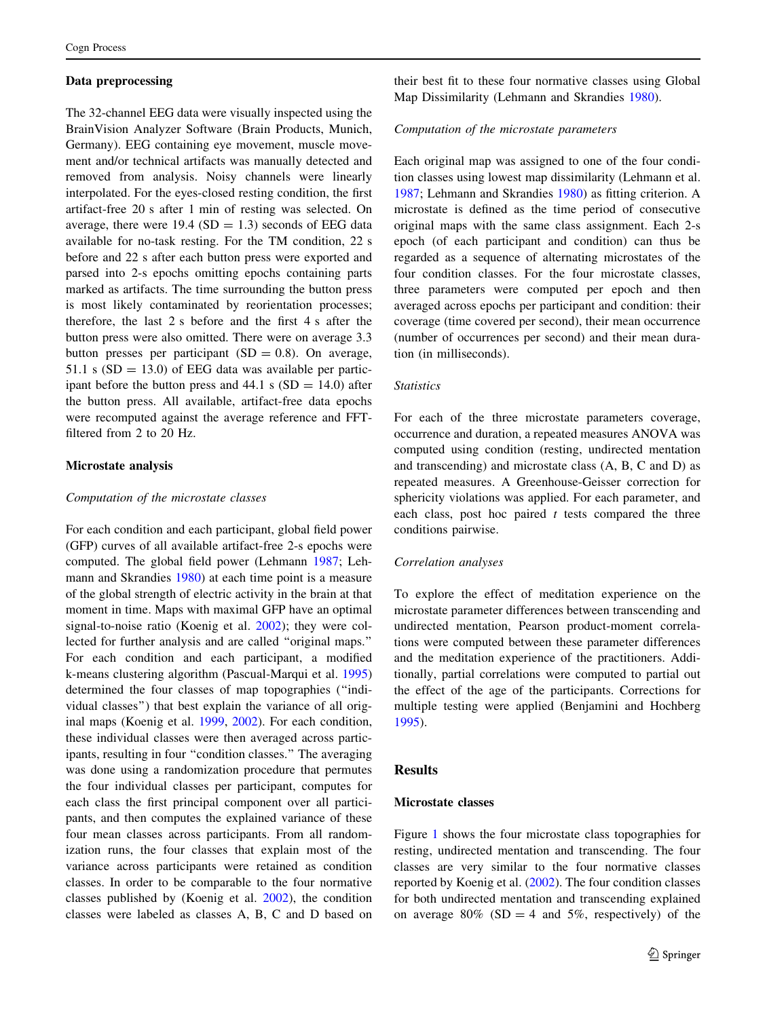#### Data preprocessing

The 32-channel EEG data were visually inspected using the BrainVision Analyzer Software (Brain Products, Munich, Germany). EEG containing eye movement, muscle movement and/or technical artifacts was manually detected and removed from analysis. Noisy channels were linearly interpolated. For the eyes-closed resting condition, the first artifact-free 20 s after 1 min of resting was selected. On average, there were  $19.4$  (SD = 1.3) seconds of EEG data available for no-task resting. For the TM condition, 22 s before and 22 s after each button press were exported and parsed into 2-s epochs omitting epochs containing parts marked as artifacts. The time surrounding the button press is most likely contaminated by reorientation processes; therefore, the last 2 s before and the first 4 s after the button press were also omitted. There were on average 3.3 button presses per participant  $(SD = 0.8)$ . On average, 51.1 s  $(SD = 13.0)$  of EEG data was available per participant before the button press and  $44.1$  s (SD = 14.0) after the button press. All available, artifact-free data epochs were recomputed against the average reference and FFTfiltered from 2 to 20 Hz.

## Microstate analysis

#### Computation of the microstate classes

For each condition and each participant, global field power (GFP) curves of all available artifact-free 2-s epochs were computed. The global field power (Lehmann [1987](#page-7-0); Lehmann and Skrandies [1980](#page-7-0)) at each time point is a measure of the global strength of electric activity in the brain at that moment in time. Maps with maximal GFP have an optimal signal-to-noise ratio (Koenig et al. [2002\)](#page-7-0); they were collected for further analysis and are called ''original maps.'' For each condition and each participant, a modified k-means clustering algorithm (Pascual-Marqui et al. [1995\)](#page-7-0) determined the four classes of map topographies (''individual classes'') that best explain the variance of all original maps (Koenig et al. [1999](#page-7-0), [2002](#page-7-0)). For each condition, these individual classes were then averaged across participants, resulting in four ''condition classes.'' The averaging was done using a randomization procedure that permutes the four individual classes per participant, computes for each class the first principal component over all participants, and then computes the explained variance of these four mean classes across participants. From all randomization runs, the four classes that explain most of the variance across participants were retained as condition classes. In order to be comparable to the four normative classes published by (Koenig et al. [2002](#page-7-0)), the condition classes were labeled as classes A, B, C and D based on

their best fit to these four normative classes using Global Map Dissimilarity (Lehmann and Skrandies [1980](#page-7-0)).

# Computation of the microstate parameters

Each original map was assigned to one of the four condition classes using lowest map dissimilarity (Lehmann et al. [1987](#page-7-0); Lehmann and Skrandies [1980\)](#page-7-0) as fitting criterion. A microstate is defined as the time period of consecutive original maps with the same class assignment. Each 2-s epoch (of each participant and condition) can thus be regarded as a sequence of alternating microstates of the four condition classes. For the four microstate classes, three parameters were computed per epoch and then averaged across epochs per participant and condition: their coverage (time covered per second), their mean occurrence (number of occurrences per second) and their mean duration (in milliseconds).

## **Statistics**

For each of the three microstate parameters coverage, occurrence and duration, a repeated measures ANOVA was computed using condition (resting, undirected mentation and transcending) and microstate class (A, B, C and D) as repeated measures. A Greenhouse-Geisser correction for sphericity violations was applied. For each parameter, and each class, post hoc paired  $t$  tests compared the three conditions pairwise.

#### Correlation analyses

To explore the effect of meditation experience on the microstate parameter differences between transcending and undirected mentation, Pearson product-moment correlations were computed between these parameter differences and the meditation experience of the practitioners. Additionally, partial correlations were computed to partial out the effect of the age of the participants. Corrections for multiple testing were applied (Benjamini and Hochberg [1995](#page-7-0)).

#### Results

#### Microstate classes

Figure [1](#page-3-0) shows the four microstate class topographies for resting, undirected mentation and transcending. The four classes are very similar to the four normative classes reported by Koenig et al. [\(2002](#page-7-0)). The four condition classes for both undirected mentation and transcending explained on average  $80\%$  (SD = 4 and 5%, respectively) of the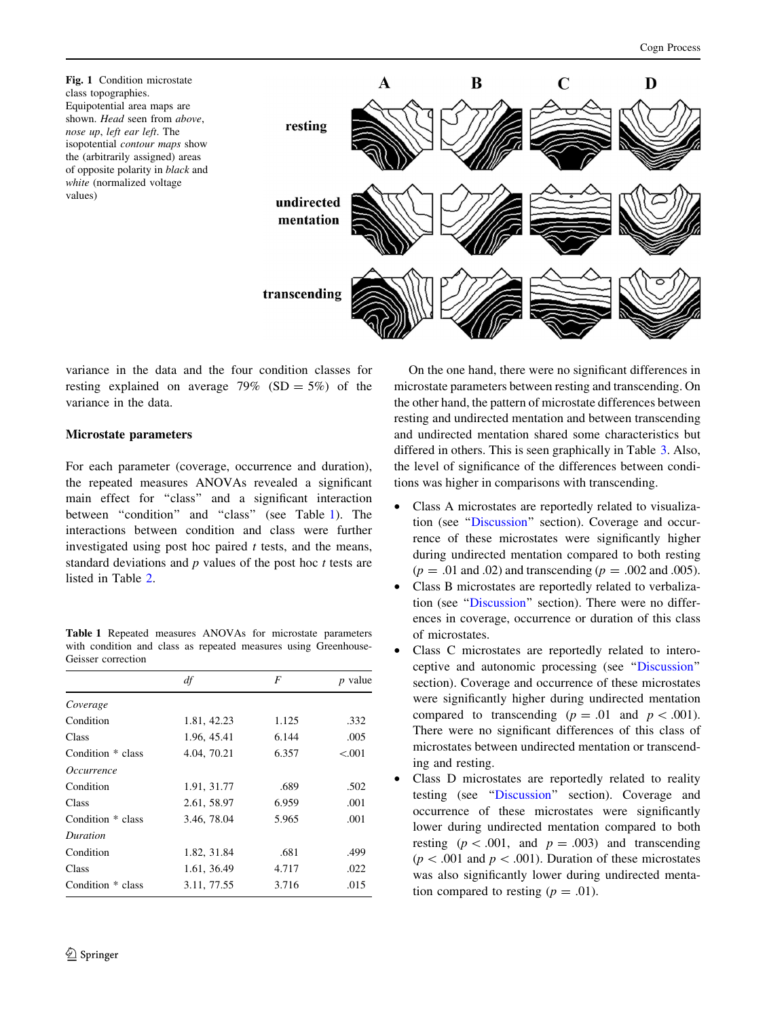<span id="page-3-0"></span>Fig. 1 Condition microstate class topographies. Equipotential area maps are shown. Head seen from above, nose up, left ear left. The isopotential contour maps show the (arbitrarily assigned) areas of opposite polarity in black and white (normalized voltage values)



variance in the data and the four condition classes for resting explained on average 79% (SD =  $5\%$ ) of the variance in the data.

## Microstate parameters

For each parameter (coverage, occurrence and duration), the repeated measures ANOVAs revealed a significant main effect for ''class'' and a significant interaction between "condition" and "class" (see Table 1). The interactions between condition and class were further investigated using post hoc paired  $t$  tests, and the means, standard deviations and  $p$  values of the post hoc  $t$  tests are listed in Table [2](#page-4-0).

Table 1 Repeated measures ANOVAs for microstate parameters with condition and class as repeated measures using Greenhouse-Geisser correction

|                   | df          | F     | $p$ value |
|-------------------|-------------|-------|-----------|
| Coverage          |             |       |           |
| Condition         | 1.81, 42.23 | 1.125 | .332      |
| Class             | 1.96, 45.41 | 6.144 | .005      |
| Condition * class | 4.04, 70.21 | 6.357 | < 0.01    |
| Occurrence        |             |       |           |
| Condition         | 1.91, 31.77 | .689  | .502      |
| Class             | 2.61, 58.97 | 6.959 | .001      |
| Condition * class | 3.46, 78.04 | 5.965 | .001      |
| Duration          |             |       |           |
| Condition         | 1.82, 31.84 | .681  | .499      |
| Class             | 1.61, 36.49 | 4.717 | .022      |
| Condition * class | 3.11, 77.55 | 3.716 | .015      |

On the one hand, there were no significant differences in microstate parameters between resting and transcending. On the other hand, the pattern of microstate differences between resting and undirected mentation and between transcending and undirected mentation shared some characteristics but differed in others. This is seen graphically in Table [3](#page-4-0). Also, the level of significance of the differences between conditions was higher in comparisons with transcending.

- Class A microstates are reportedly related to visualization (see '['Discussion'](#page-4-0)' section). Coverage and occurrence of these microstates were significantly higher during undirected mentation compared to both resting  $(p = .01$  and .02) and transcending  $(p = .002$  and .005).
- Class B microstates are reportedly related to verbalization (see "Discussion" section). There were no differences in coverage, occurrence or duration of this class of microstates.
- Class C microstates are reportedly related to interoceptive and autonomic processing (see ''[Discussion'](#page-4-0)' section). Coverage and occurrence of these microstates were significantly higher during undirected mentation compared to transcending  $(p = .01$  and  $p < .001$ . There were no significant differences of this class of microstates between undirected mentation or transcending and resting.
- Class D microstates are reportedly related to reality testing (see ''[Discussion](#page-4-0)'' section). Coverage and occurrence of these microstates were significantly lower during undirected mentation compared to both resting  $(p < .001, \text{ and } p = .003)$  and transcending  $(p\lt .001$  and  $p\lt .001)$ . Duration of these microstates was also significantly lower during undirected mentation compared to resting  $(p = .01)$ .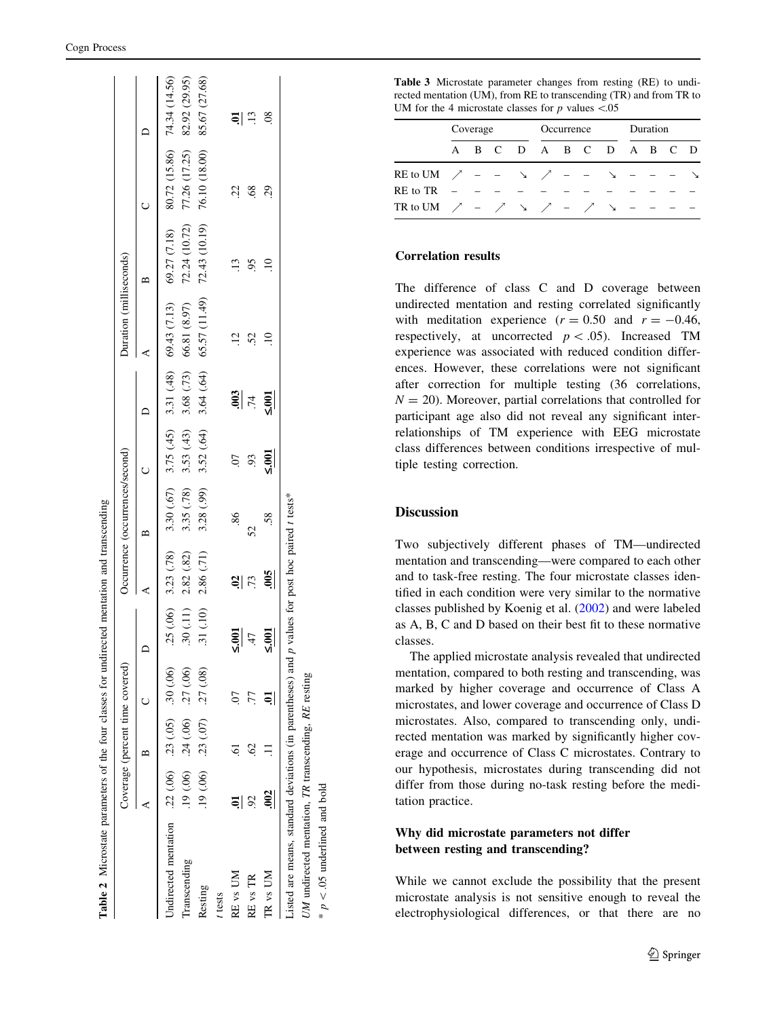### <span id="page-4-0"></span>Cogn Process

Table 2 Microstate parameters of the four classes for undirected mentation and transcending

Microstate parameters of the four classes for undirected mentation and transcending

|                                                                                                      |                | Coverage (percent time covered)     |         |              |                         | Occurrence (occurrences/second) |               |                     | Duration (milliseconds)                       |               |                             |                          |
|------------------------------------------------------------------------------------------------------|----------------|-------------------------------------|---------|--------------|-------------------------|---------------------------------|---------------|---------------------|-----------------------------------------------|---------------|-----------------------------|--------------------------|
|                                                                                                      |                | ≃                                   |         |              |                         | $\mathbf{r}$                    |               |                     |                                               |               |                             | $\overline{\phantom{0}}$ |
| Undirected mentation $.22(.06)$ $.23(.05)$ $.30(.06)$                                                |                |                                     |         |              | $.25(.06)$ 3.23 $(.78)$ |                                 |               |                     | 3.30 (.67) 3.75 (.45) 3.31 (.48) 69.43 (7.13) | 69.27 (7.18)  | 80.72 (15.86) 74.34 (14.56) |                          |
| Transcending                                                                                         |                | $(0.06)$ $(0.06)$                   | .27(06) | .30(.11)     | 2.82(.82)               | 3.35 (.78)                      | 3.53(.43)     | 3.68 (.73)          | 66.81 (8.97)                                  | 72.24 (10.72) | 77.26 (17.25)               | 82.92 (29.95)            |
| Resting                                                                                              |                | $(0.06)$ $(0.07)$ $(0.77)$ $(0.08)$ |         | .31( .10)    | 2.86 (.71)              | 3.28 (.99)                      | 3.52(.64)     | 3.64 (.64)          | 65.57 (11.49)                                 | 72.43 (10.19) | 76.10 (18.00)               | 85.67 (27.68)            |
| t tests                                                                                              |                |                                     |         |              |                         |                                 |               |                     |                                               |               |                             |                          |
| RE vs UM                                                                                             | ≅∣             |                                     |         | $rac{60}{5}$ | కి∣                     | 86                              |               | $\ddot{\mathbf{S}}$ |                                               |               | 22                          | ≅∣                       |
| RE vs TR                                                                                             | $\overline{6}$ |                                     |         |              | 73.                     | 52                              | 93            | .74                 | S                                             | 95            | .68                         | 13                       |
| TR vs UM                                                                                             | $\frac{2}{3}$  |                                     | క∣      | $\leq 001$   | $\frac{1}{200}$         | .58                             | $rac{100}{2}$ | $rac{50}{100}$      |                                               |               | 29                          | ఠ                        |
| Listed are means, standard deviations (in parentheses) and $p$ values for post hoc paired $t$ tests* |                |                                     |         |              |                         |                                 |               |                     |                                               |               |                             |                          |
|                                                                                                      |                | $\ddot{ }$                          |         |              |                         |                                 |               |                     |                                               |               |                             |                          |

UM undirected mentation, TR transcending, RE resting UM undirected mentation, TR transcending, RE resting

 $<$  .05 underlined and bold  $p \leq 0.05$  underlined and bold

 $\overline{b}$ 

| Table 3 Microstate parameter changes from resting (RE) to undi-    |  |  |  |  |
|--------------------------------------------------------------------|--|--|--|--|
| rected mentation (UM), from RE to transcending (TR) and from TR to |  |  |  |  |
| UM for the 4 microstate classes for p values $< 0.05$              |  |  |  |  |

|                                                                                                          | Coverage |  |                         |  | Occurrence Duration |  |  |  |  |  |  |  |
|----------------------------------------------------------------------------------------------------------|----------|--|-------------------------|--|---------------------|--|--|--|--|--|--|--|
|                                                                                                          |          |  | A B C D A B C D A B C D |  |                     |  |  |  |  |  |  |  |
| RE to UM $2 - - \sqrt{2} = - \sqrt{2} = -$                                                               |          |  |                         |  |                     |  |  |  |  |  |  |  |
| RE to TR $    -$                                                                                         |          |  |                         |  |                     |  |  |  |  |  |  |  |
| TR to UM $\bigwedge - \bigwedge$ $\bigwedge - \bigwedge$ $\bigwedge - \bigwedge$ $\bigwedge - \bigwedge$ |          |  |                         |  |                     |  |  |  |  |  |  |  |

# Correlation results

The difference of class C and D coverage between undirected mentation and resting correlated significantly with meditation experience  $(r = 0.50$  and  $r = -0.46$ , respectively, at uncorrected  $p < .05$ ). Increased TM experience was associated with reduced condition differences. However, these correlations were not significant after correction for multiple testing (36 correlations,  $N = 20$ ). Moreover, partial correlations that controlled for participant age also did not reveal any significant interrelationships of TM experience with EEG microstate class differences between conditions irrespective of multiple testing correction.

# **Discussion**

Two subjectively different phases of TM—undirected mentation and transcending—were compared to each other and to task-free resting. The four microstate classes identified in each condition were very similar to the normative classes published by Koenig et al. ([2002\)](#page-7-0) and were labeled as A, B, C and D based on their best fit to these normative classes.

The applied microstate analysis revealed that undirected mentation, compared to both resting and transcending, was marked by higher coverage and occurrence of Class A microstates, and lower coverage and occurrence of Class D microstates. Also, compared to transcending only, undirected mentation was marked by significantly higher coverage and occurrence of Class C microstates. Contrary to our hypothesis, microstates during transcending did not differ from those during no-task resting before the meditation practice.

# Why did microstate parameters not differ between resting and transcending?

While we cannot exclude the possibility that the present microstate analysis is not sensitive enough to reveal the electrophysiological differences, or that there are no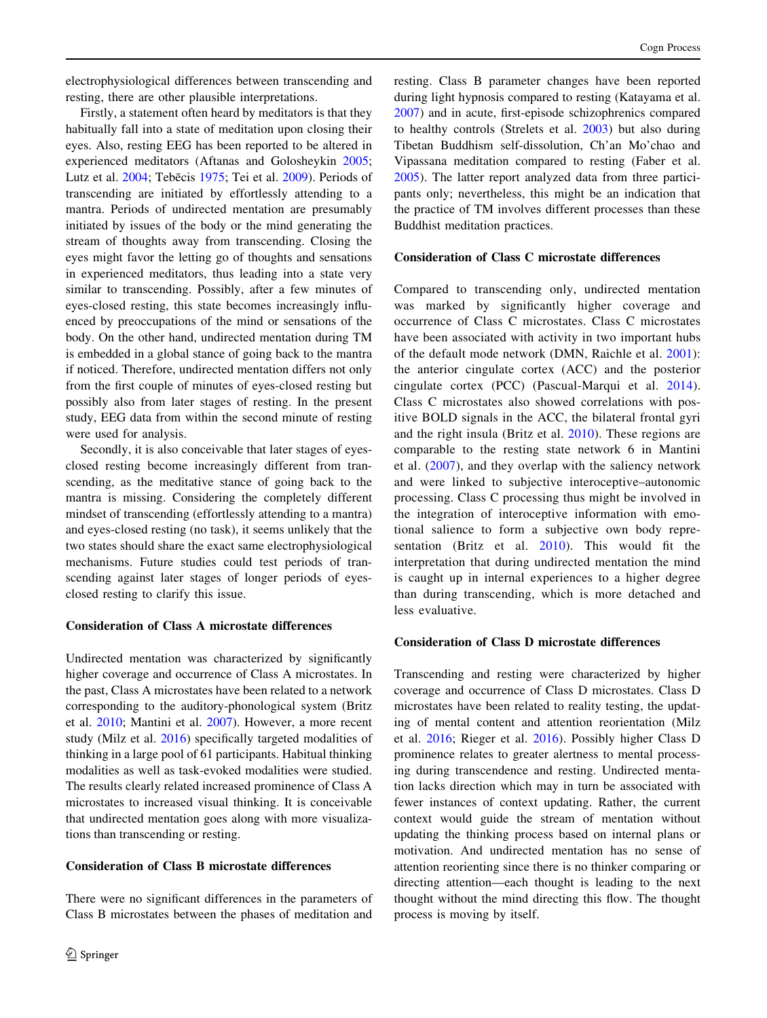electrophysiological differences between transcending and resting, there are other plausible interpretations.

Firstly, a statement often heard by meditators is that they habitually fall into a state of meditation upon closing their eyes. Also, resting EEG has been reported to be altered in experienced meditators (Aftanas and Golosheykin [2005](#page-6-0); Lutz et al. [2004](#page-7-0); Tebecis [1975;](#page-7-0) Tei et al. [2009](#page-7-0)). Periods of transcending are initiated by effortlessly attending to a mantra. Periods of undirected mentation are presumably initiated by issues of the body or the mind generating the stream of thoughts away from transcending. Closing the eyes might favor the letting go of thoughts and sensations in experienced meditators, thus leading into a state very similar to transcending. Possibly, after a few minutes of eyes-closed resting, this state becomes increasingly influenced by preoccupations of the mind or sensations of the body. On the other hand, undirected mentation during TM is embedded in a global stance of going back to the mantra if noticed. Therefore, undirected mentation differs not only from the first couple of minutes of eyes-closed resting but possibly also from later stages of resting. In the present study, EEG data from within the second minute of resting were used for analysis.

Secondly, it is also conceivable that later stages of eyesclosed resting become increasingly different from transcending, as the meditative stance of going back to the mantra is missing. Considering the completely different mindset of transcending (effortlessly attending to a mantra) and eyes-closed resting (no task), it seems unlikely that the two states should share the exact same electrophysiological mechanisms. Future studies could test periods of transcending against later stages of longer periods of eyesclosed resting to clarify this issue.

# Consideration of Class A microstate differences

Undirected mentation was characterized by significantly higher coverage and occurrence of Class A microstates. In the past, Class A microstates have been related to a network corresponding to the auditory-phonological system (Britz et al. [2010](#page-7-0); Mantini et al. [2007\)](#page-7-0). However, a more recent study (Milz et al. [2016\)](#page-7-0) specifically targeted modalities of thinking in a large pool of 61 participants. Habitual thinking modalities as well as task-evoked modalities were studied. The results clearly related increased prominence of Class A microstates to increased visual thinking. It is conceivable that undirected mentation goes along with more visualizations than transcending or resting.

## Consideration of Class B microstate differences

There were no significant differences in the parameters of Class B microstates between the phases of meditation and resting. Class B parameter changes have been reported during light hypnosis compared to resting (Katayama et al. [2007](#page-7-0)) and in acute, first-episode schizophrenics compared to healthy controls (Strelets et al. [2003\)](#page-7-0) but also during Tibetan Buddhism self-dissolution, Ch'an Mo'chao and Vipassana meditation compared to resting (Faber et al. [2005](#page-7-0)). The latter report analyzed data from three participants only; nevertheless, this might be an indication that the practice of TM involves different processes than these Buddhist meditation practices.

#### Consideration of Class C microstate differences

Compared to transcending only, undirected mentation was marked by significantly higher coverage and occurrence of Class C microstates. Class C microstates have been associated with activity in two important hubs of the default mode network (DMN, Raichle et al. [2001](#page-7-0)): the anterior cingulate cortex (ACC) and the posterior cingulate cortex (PCC) (Pascual-Marqui et al. [2014](#page-7-0)). Class C microstates also showed correlations with positive BOLD signals in the ACC, the bilateral frontal gyri and the right insula (Britz et al. [2010\)](#page-7-0). These regions are comparable to the resting state network 6 in Mantini et al. ([2007](#page-7-0)), and they overlap with the saliency network and were linked to subjective interoceptive–autonomic processing. Class C processing thus might be involved in the integration of interoceptive information with emotional salience to form a subjective own body representation (Britz et al. [2010](#page-7-0)). This would fit the interpretation that during undirected mentation the mind is caught up in internal experiences to a higher degree than during transcending, which is more detached and less evaluative.

#### Consideration of Class D microstate differences

Transcending and resting were characterized by higher coverage and occurrence of Class D microstates. Class D microstates have been related to reality testing, the updating of mental content and attention reorientation (Milz et al. [2016](#page-7-0); Rieger et al. [2016](#page-7-0)). Possibly higher Class D prominence relates to greater alertness to mental processing during transcendence and resting. Undirected mentation lacks direction which may in turn be associated with fewer instances of context updating. Rather, the current context would guide the stream of mentation without updating the thinking process based on internal plans or motivation. And undirected mentation has no sense of attention reorienting since there is no thinker comparing or directing attention—each thought is leading to the next thought without the mind directing this flow. The thought process is moving by itself.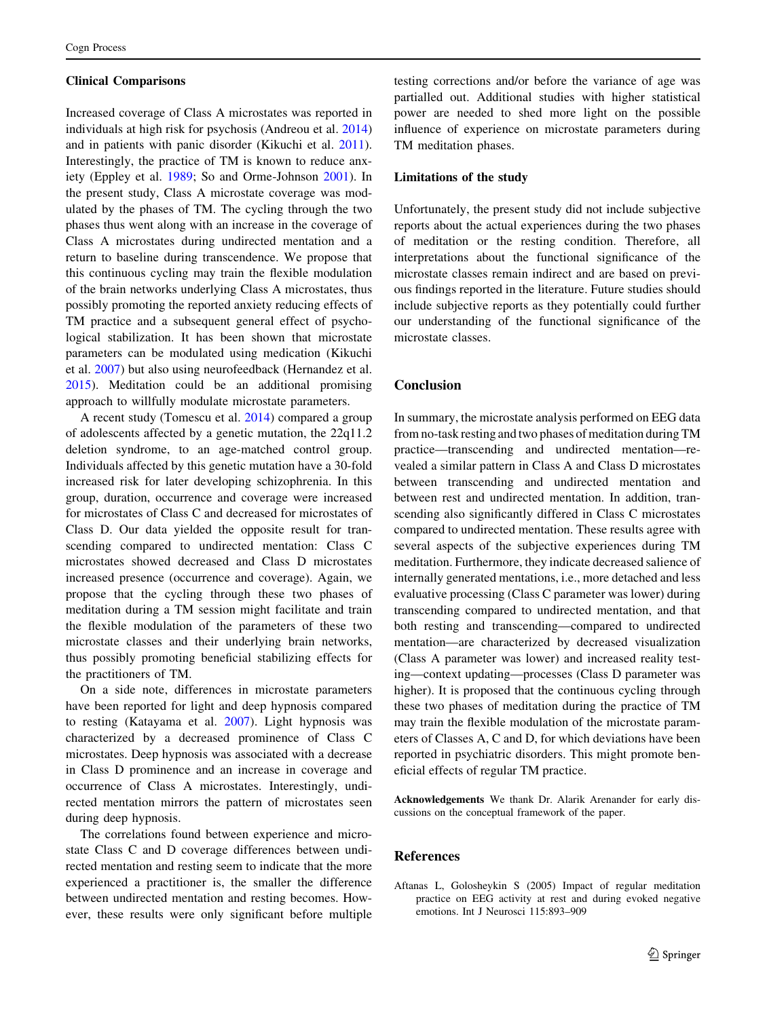#### <span id="page-6-0"></span>Clinical Comparisons

Increased coverage of Class A microstates was reported in individuals at high risk for psychosis (Andreou et al. [2014\)](#page-7-0) and in patients with panic disorder (Kikuchi et al. [2011](#page-7-0)). Interestingly, the practice of TM is known to reduce anxiety (Eppley et al. [1989;](#page-7-0) So and Orme-Johnson [2001](#page-7-0)). In the present study, Class A microstate coverage was modulated by the phases of TM. The cycling through the two phases thus went along with an increase in the coverage of Class A microstates during undirected mentation and a return to baseline during transcendence. We propose that this continuous cycling may train the flexible modulation of the brain networks underlying Class A microstates, thus possibly promoting the reported anxiety reducing effects of TM practice and a subsequent general effect of psychological stabilization. It has been shown that microstate parameters can be modulated using medication (Kikuchi et al. [2007](#page-7-0)) but also using neurofeedback (Hernandez et al. [2015\)](#page-7-0). Meditation could be an additional promising approach to willfully modulate microstate parameters.

A recent study (Tomescu et al. [2014\)](#page-7-0) compared a group of adolescents affected by a genetic mutation, the 22q11.2 deletion syndrome, to an age-matched control group. Individuals affected by this genetic mutation have a 30-fold increased risk for later developing schizophrenia. In this group, duration, occurrence and coverage were increased for microstates of Class C and decreased for microstates of Class D. Our data yielded the opposite result for transcending compared to undirected mentation: Class C microstates showed decreased and Class D microstates increased presence (occurrence and coverage). Again, we propose that the cycling through these two phases of meditation during a TM session might facilitate and train the flexible modulation of the parameters of these two microstate classes and their underlying brain networks, thus possibly promoting beneficial stabilizing effects for the practitioners of TM.

On a side note, differences in microstate parameters have been reported for light and deep hypnosis compared to resting (Katayama et al. [2007](#page-7-0)). Light hypnosis was characterized by a decreased prominence of Class C microstates. Deep hypnosis was associated with a decrease in Class D prominence and an increase in coverage and occurrence of Class A microstates. Interestingly, undirected mentation mirrors the pattern of microstates seen during deep hypnosis.

The correlations found between experience and microstate Class C and D coverage differences between undirected mentation and resting seem to indicate that the more experienced a practitioner is, the smaller the difference between undirected mentation and resting becomes. However, these results were only significant before multiple

testing corrections and/or before the variance of age was partialled out. Additional studies with higher statistical power are needed to shed more light on the possible influence of experience on microstate parameters during TM meditation phases.

#### Limitations of the study

Unfortunately, the present study did not include subjective reports about the actual experiences during the two phases of meditation or the resting condition. Therefore, all interpretations about the functional significance of the microstate classes remain indirect and are based on previous findings reported in the literature. Future studies should include subjective reports as they potentially could further our understanding of the functional significance of the microstate classes.

# Conclusion

In summary, the microstate analysis performed on EEG data from no-task resting and two phases of meditation during TM practice—transcending and undirected mentation—revealed a similar pattern in Class A and Class D microstates between transcending and undirected mentation and between rest and undirected mentation. In addition, transcending also significantly differed in Class C microstates compared to undirected mentation. These results agree with several aspects of the subjective experiences during TM meditation. Furthermore, they indicate decreased salience of internally generated mentations, i.e., more detached and less evaluative processing (Class C parameter was lower) during transcending compared to undirected mentation, and that both resting and transcending—compared to undirected mentation—are characterized by decreased visualization (Class A parameter was lower) and increased reality testing—context updating—processes (Class D parameter was higher). It is proposed that the continuous cycling through these two phases of meditation during the practice of TM may train the flexible modulation of the microstate parameters of Classes A, C and D, for which deviations have been reported in psychiatric disorders. This might promote beneficial effects of regular TM practice.

Acknowledgements We thank Dr. Alarik Arenander for early discussions on the conceptual framework of the paper.

# References

Aftanas L, Golosheykin S (2005) Impact of regular meditation practice on EEG activity at rest and during evoked negative emotions. Int J Neurosci 115:893–909